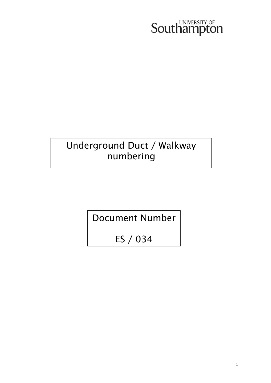# Southampton

# Underground Duct / Walkway numbering

Document Number

ES / 034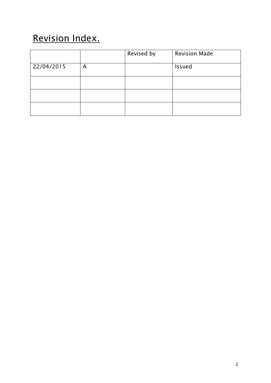# Revision Index.

|            |   | Revised by | <b>Revision Made</b> |
|------------|---|------------|----------------------|
| 22/04/2015 | A |            | <b>Issued</b>        |
|            |   |            |                      |
|            |   |            |                      |
|            |   |            |                      |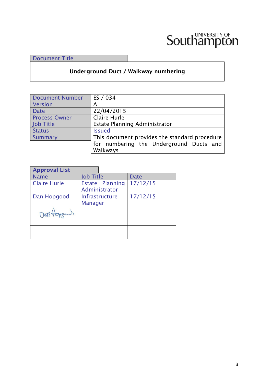# Southampton

Document Title

## **Underground Duct / Walkway numbering**

| <b>Document Number</b> | ES / 034                                      |  |  |
|------------------------|-----------------------------------------------|--|--|
| Version                | А                                             |  |  |
| <b>Date</b>            | 22/04/2015                                    |  |  |
| <b>Process Owner</b>   | Claire Hurle                                  |  |  |
| Job Title              | Estate Planning Administrator                 |  |  |
| <b>Status</b>          | <b>Issued</b>                                 |  |  |
| Summary                | This document provides the standard procedure |  |  |
|                        | for numbering the Underground Ducts and       |  |  |
|                        | Walkways                                      |  |  |

| <b>Approval List</b> |                                  |                                  |             |
|----------------------|----------------------------------|----------------------------------|-------------|
| <b>Name</b>          | <b>Job Title</b>                 |                                  | <b>Date</b> |
| <b>Claire Hurle</b>  |                                  | Estate Planning<br>Administrator | 17/12/15    |
| Dan Hopgood          | Infrastructure<br><b>Manager</b> |                                  | 17/12/15    |
| mot                  |                                  |                                  |             |
|                      |                                  |                                  |             |
|                      |                                  |                                  |             |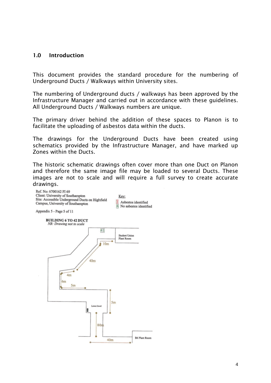#### **1.0 Introduction**

This document provides the standard procedure for the numbering of Underground Ducts / Walkways within University sites.

The numbering of Underground ducts / walkways has been approved by the Infrastructure Manager and carried out in accordance with these guidelines. All Underground Ducts / Walkways numbers are unique.

The primary driver behind the addition of these spaces to Planon is to facilitate the uploading of asbestos data within the ducts.

The drawings for the Underground Ducts have been created using schematics provided by the Infrastructure Manager, and have marked up Zones within the Ducts.

The historic schematic drawings often cover more than one Duct on Planon and therefore the same image file may be loaded to several Ducts. These images are not to scale and will require a full survey to create accurate drawings.

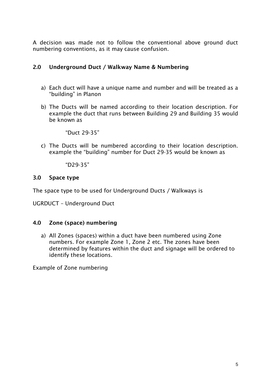A decision was made not to follow the conventional above ground duct numbering conventions, as it may cause confusion.

## **2.0 Underground Duct / Walkway Name & Numbering**

- a) Each duct will have a unique name and number and will be treated as a "building" in Planon
- b) The Ducts will be named according to their location description. For example the duct that runs between Building 29 and Building 35 would be known as

"Duct 29-35"

c) The Ducts will be numbered according to their location description. example the "building" number for Duct 29-35 would be known as

"D29-35"

### **3.0 Space type**

The space type to be used for Underground Ducts / Walkways is

UGRDUCT – Underground Duct

### **4.0 Zone (space) numbering**

a) All Zones (spaces) within a duct have been numbered using Zone numbers. For example Zone 1, Zone 2 etc. The zones have been determined by features within the duct and signage will be ordered to identify these locations.

Example of Zone numbering